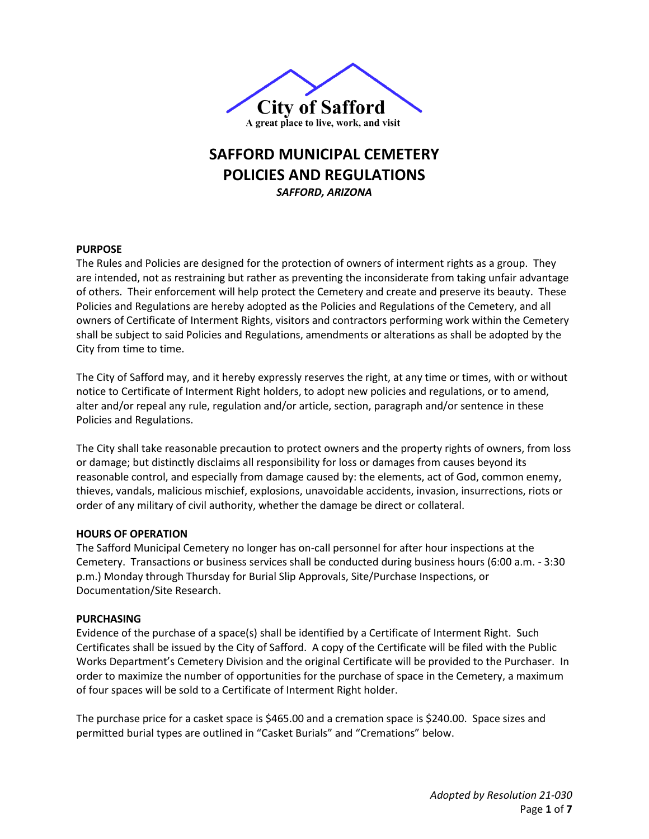

# **SAFFORD MUNICIPAL CEMETERY POLICIES AND REGULATIONS** *SAFFORD, ARIZONA*

## **PURPOSE**

The Rules and Policies are designed for the protection of owners of interment rights as a group. They are intended, not as restraining but rather as preventing the inconsiderate from taking unfair advantage of others. Their enforcement will help protect the Cemetery and create and preserve its beauty. These Policies and Regulations are hereby adopted as the Policies and Regulations of the Cemetery, and all owners of Certificate of Interment Rights, visitors and contractors performing work within the Cemetery shall be subject to said Policies and Regulations, amendments or alterations as shall be adopted by the City from time to time.

The City of Safford may, and it hereby expressly reserves the right, at any time or times, with or without notice to Certificate of Interment Right holders, to adopt new policies and regulations, or to amend, alter and/or repeal any rule, regulation and/or article, section, paragraph and/or sentence in these Policies and Regulations.

The City shall take reasonable precaution to protect owners and the property rights of owners, from loss or damage; but distinctly disclaims all responsibility for loss or damages from causes beyond its reasonable control, and especially from damage caused by: the elements, act of God, common enemy, thieves, vandals, malicious mischief, explosions, unavoidable accidents, invasion, insurrections, riots or order of any military of civil authority, whether the damage be direct or collateral.

#### **HOURS OF OPERATION**

The Safford Municipal Cemetery no longer has on-call personnel for after hour inspections at the Cemetery. Transactions or business services shall be conducted during business hours (6:00 a.m. - 3:30 p.m.) Monday through Thursday for Burial Slip Approvals, Site/Purchase Inspections, or Documentation/Site Research.

#### **PURCHASING**

Evidence of the purchase of a space(s) shall be identified by a Certificate of Interment Right. Such Certificates shall be issued by the City of Safford. A copy of the Certificate will be filed with the Public Works Department's Cemetery Division and the original Certificate will be provided to the Purchaser. In order to maximize the number of opportunities for the purchase of space in the Cemetery, a maximum of four spaces will be sold to a Certificate of Interment Right holder.

The purchase price for a casket space is \$465.00 and a cremation space is \$240.00. Space sizes and permitted burial types are outlined in "Casket Burials" and "Cremations" below.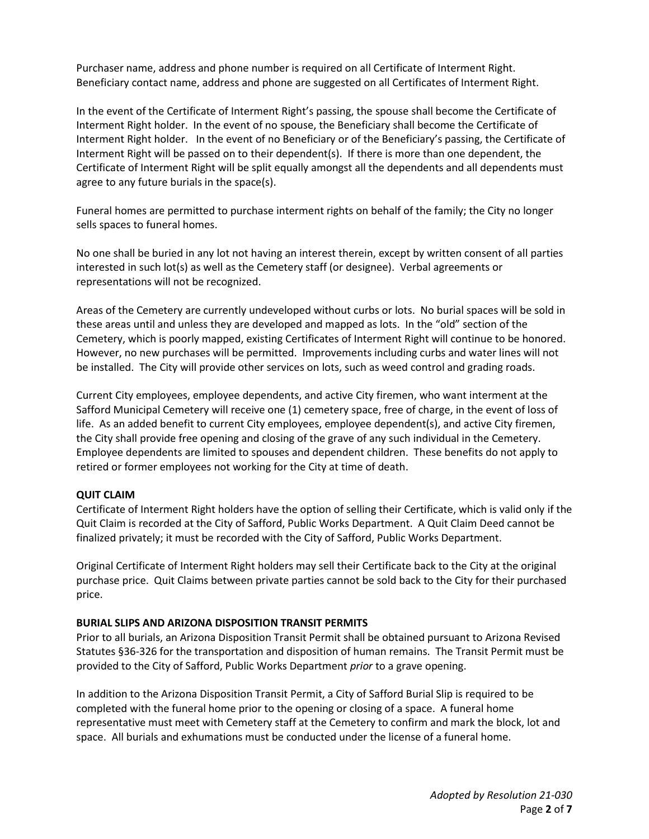Purchaser name, address and phone number is required on all Certificate of Interment Right. Beneficiary contact name, address and phone are suggested on all Certificates of Interment Right.

In the event of the Certificate of Interment Right's passing, the spouse shall become the Certificate of Interment Right holder. In the event of no spouse, the Beneficiary shall become the Certificate of Interment Right holder. In the event of no Beneficiary or of the Beneficiary's passing, the Certificate of Interment Right will be passed on to their dependent(s). If there is more than one dependent, the Certificate of Interment Right will be split equally amongst all the dependents and all dependents must agree to any future burials in the space(s).

Funeral homes are permitted to purchase interment rights on behalf of the family; the City no longer sells spaces to funeral homes.

No one shall be buried in any lot not having an interest therein, except by written consent of all parties interested in such lot(s) as well as the Cemetery staff (or designee). Verbal agreements or representations will not be recognized.

Areas of the Cemetery are currently undeveloped without curbs or lots. No burial spaces will be sold in these areas until and unless they are developed and mapped as lots. In the "old" section of the Cemetery, which is poorly mapped, existing Certificates of Interment Right will continue to be honored. However, no new purchases will be permitted. Improvements including curbs and water lines will not be installed. The City will provide other services on lots, such as weed control and grading roads.

Current City employees, employee dependents, and active City firemen, who want interment at the Safford Municipal Cemetery will receive one (1) cemetery space, free of charge, in the event of loss of life. As an added benefit to current City employees, employee dependent(s), and active City firemen, the City shall provide free opening and closing of the grave of any such individual in the Cemetery. Employee dependents are limited to spouses and dependent children. These benefits do not apply to retired or former employees not working for the City at time of death.

## **QUIT CLAIM**

Certificate of Interment Right holders have the option of selling their Certificate, which is valid only if the Quit Claim is recorded at the City of Safford, Public Works Department. A Quit Claim Deed cannot be finalized privately; it must be recorded with the City of Safford, Public Works Department.

Original Certificate of Interment Right holders may sell their Certificate back to the City at the original purchase price. Quit Claims between private parties cannot be sold back to the City for their purchased price.

## **BURIAL SLIPS AND ARIZONA DISPOSITION TRANSIT PERMITS**

Prior to all burials, an Arizona Disposition Transit Permit shall be obtained pursuant to Arizona Revised Statutes §36-326 for the transportation and disposition of human remains. The Transit Permit must be provided to the City of Safford, Public Works Department *prior* to a grave opening.

In addition to the Arizona Disposition Transit Permit, a City of Safford Burial Slip is required to be completed with the funeral home prior to the opening or closing of a space. A funeral home representative must meet with Cemetery staff at the Cemetery to confirm and mark the block, lot and space. All burials and exhumations must be conducted under the license of a funeral home.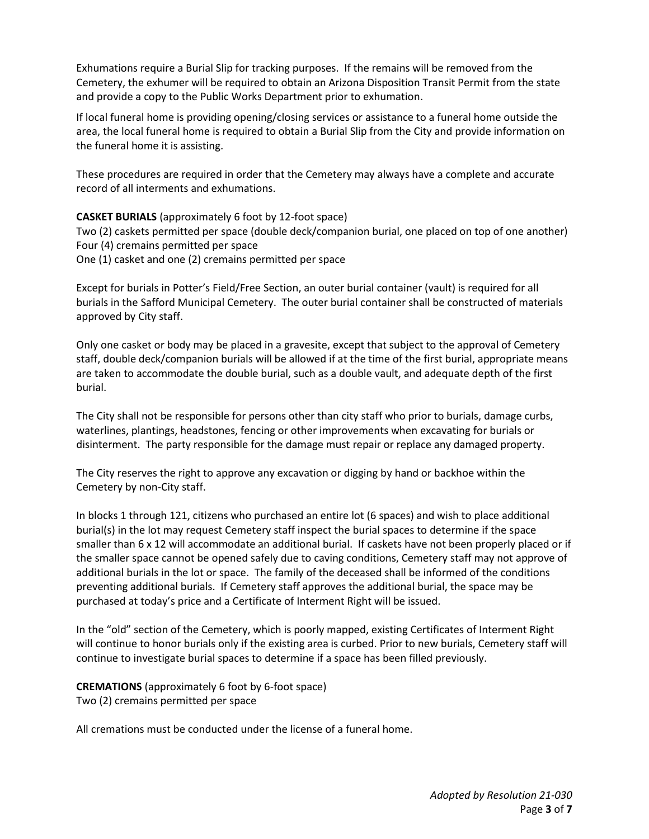Exhumations require a Burial Slip for tracking purposes. If the remains will be removed from the Cemetery, the exhumer will be required to obtain an Arizona Disposition Transit Permit from the state and provide a copy to the Public Works Department prior to exhumation.

If local funeral home is providing opening/closing services or assistance to a funeral home outside the area, the local funeral home is required to obtain a Burial Slip from the City and provide information on the funeral home it is assisting.

These procedures are required in order that the Cemetery may always have a complete and accurate record of all interments and exhumations.

## **CASKET BURIALS** (approximately 6 foot by 12-foot space)

Two (2) caskets permitted per space (double deck/companion burial, one placed on top of one another) Four (4) cremains permitted per space

One (1) casket and one (2) cremains permitted per space

Except for burials in Potter's Field/Free Section, an outer burial container (vault) is required for all burials in the Safford Municipal Cemetery. The outer burial container shall be constructed of materials approved by City staff.

Only one casket or body may be placed in a gravesite, except that subject to the approval of Cemetery staff, double deck/companion burials will be allowed if at the time of the first burial, appropriate means are taken to accommodate the double burial, such as a double vault, and adequate depth of the first burial.

The City shall not be responsible for persons other than city staff who prior to burials, damage curbs, waterlines, plantings, headstones, fencing or other improvements when excavating for burials or disinterment. The party responsible for the damage must repair or replace any damaged property.

The City reserves the right to approve any excavation or digging by hand or backhoe within the Cemetery by non-City staff.

In blocks 1 through 121, citizens who purchased an entire lot (6 spaces) and wish to place additional burial(s) in the lot may request Cemetery staff inspect the burial spaces to determine if the space smaller than 6 x 12 will accommodate an additional burial. If caskets have not been properly placed or if the smaller space cannot be opened safely due to caving conditions, Cemetery staff may not approve of additional burials in the lot or space. The family of the deceased shall be informed of the conditions preventing additional burials. If Cemetery staff approves the additional burial, the space may be purchased at today's price and a Certificate of Interment Right will be issued.

In the "old" section of the Cemetery, which is poorly mapped, existing Certificates of Interment Right will continue to honor burials only if the existing area is curbed. Prior to new burials, Cemetery staff will continue to investigate burial spaces to determine if a space has been filled previously.

**CREMATIONS** (approximately 6 foot by 6-foot space) Two (2) cremains permitted per space

All cremations must be conducted under the license of a funeral home.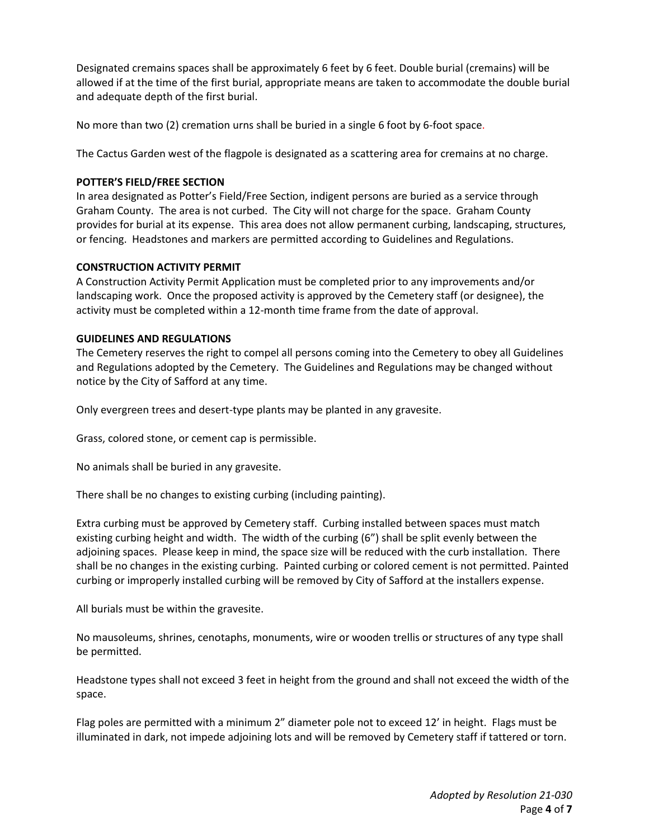Designated cremains spaces shall be approximately 6 feet by 6 feet. Double burial (cremains) will be allowed if at the time of the first burial, appropriate means are taken to accommodate the double burial and adequate depth of the first burial.

No more than two (2) cremation urns shall be buried in a single 6 foot by 6-foot space.

The Cactus Garden west of the flagpole is designated as a scattering area for cremains at no charge.

## **POTTER'S FIELD/FREE SECTION**

In area designated as Potter's Field/Free Section, indigent persons are buried as a service through Graham County. The area is not curbed. The City will not charge for the space. Graham County provides for burial at its expense. This area does not allow permanent curbing, landscaping, structures, or fencing. Headstones and markers are permitted according to Guidelines and Regulations.

## **CONSTRUCTION ACTIVITY PERMIT**

A Construction Activity Permit Application must be completed prior to any improvements and/or landscaping work. Once the proposed activity is approved by the Cemetery staff (or designee), the activity must be completed within a 12-month time frame from the date of approval.

## **GUIDELINES AND REGULATIONS**

The Cemetery reserves the right to compel all persons coming into the Cemetery to obey all Guidelines and Regulations adopted by the Cemetery. The Guidelines and Regulations may be changed without notice by the City of Safford at any time.

Only evergreen trees and desert-type plants may be planted in any gravesite.

Grass, colored stone, or cement cap is permissible.

No animals shall be buried in any gravesite.

There shall be no changes to existing curbing (including painting).

Extra curbing must be approved by Cemetery staff. Curbing installed between spaces must match existing curbing height and width. The width of the curbing (6") shall be split evenly between the adjoining spaces. Please keep in mind, the space size will be reduced with the curb installation. There shall be no changes in the existing curbing. Painted curbing or colored cement is not permitted. Painted curbing or improperly installed curbing will be removed by City of Safford at the installers expense.

All burials must be within the gravesite.

No mausoleums, shrines, cenotaphs, monuments, wire or wooden trellis or structures of any type shall be permitted.

Headstone types shall not exceed 3 feet in height from the ground and shall not exceed the width of the space.

Flag poles are permitted with a minimum 2" diameter pole not to exceed 12' in height. Flags must be illuminated in dark, not impede adjoining lots and will be removed by Cemetery staff if tattered or torn.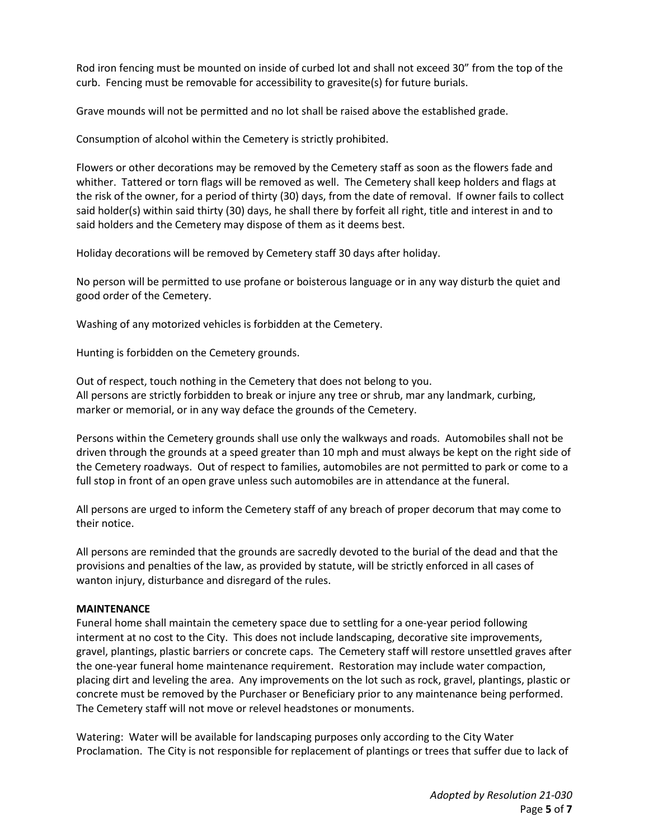Rod iron fencing must be mounted on inside of curbed lot and shall not exceed 30" from the top of the curb. Fencing must be removable for accessibility to gravesite(s) for future burials.

Grave mounds will not be permitted and no lot shall be raised above the established grade.

Consumption of alcohol within the Cemetery is strictly prohibited.

Flowers or other decorations may be removed by the Cemetery staff as soon as the flowers fade and whither. Tattered or torn flags will be removed as well. The Cemetery shall keep holders and flags at the risk of the owner, for a period of thirty (30) days, from the date of removal. If owner fails to collect said holder(s) within said thirty (30) days, he shall there by forfeit all right, title and interest in and to said holders and the Cemetery may dispose of them as it deems best.

Holiday decorations will be removed by Cemetery staff 30 days after holiday.

No person will be permitted to use profane or boisterous language or in any way disturb the quiet and good order of the Cemetery.

Washing of any motorized vehicles is forbidden at the Cemetery.

Hunting is forbidden on the Cemetery grounds.

Out of respect, touch nothing in the Cemetery that does not belong to you. All persons are strictly forbidden to break or injure any tree or shrub, mar any landmark, curbing, marker or memorial, or in any way deface the grounds of the Cemetery.

Persons within the Cemetery grounds shall use only the walkways and roads. Automobiles shall not be driven through the grounds at a speed greater than 10 mph and must always be kept on the right side of the Cemetery roadways. Out of respect to families, automobiles are not permitted to park or come to a full stop in front of an open grave unless such automobiles are in attendance at the funeral.

All persons are urged to inform the Cemetery staff of any breach of proper decorum that may come to their notice.

All persons are reminded that the grounds are sacredly devoted to the burial of the dead and that the provisions and penalties of the law, as provided by statute, will be strictly enforced in all cases of wanton injury, disturbance and disregard of the rules.

## **MAINTENANCE**

Funeral home shall maintain the cemetery space due to settling for a one-year period following interment at no cost to the City. This does not include landscaping, decorative site improvements, gravel, plantings, plastic barriers or concrete caps. The Cemetery staff will restore unsettled graves after the one-year funeral home maintenance requirement. Restoration may include water compaction, placing dirt and leveling the area. Any improvements on the lot such as rock, gravel, plantings, plastic or concrete must be removed by the Purchaser or Beneficiary prior to any maintenance being performed. The Cemetery staff will not move or relevel headstones or monuments.

Watering: Water will be available for landscaping purposes only according to the City Water Proclamation. The City is not responsible for replacement of plantings or trees that suffer due to lack of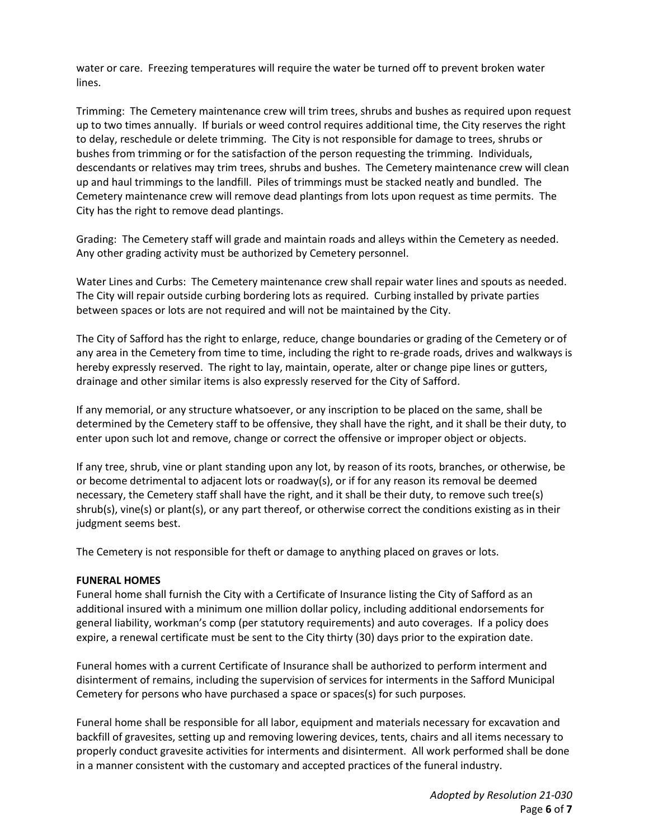water or care. Freezing temperatures will require the water be turned off to prevent broken water lines.

Trimming: The Cemetery maintenance crew will trim trees, shrubs and bushes as required upon request up to two times annually. If burials or weed control requires additional time, the City reserves the right to delay, reschedule or delete trimming. The City is not responsible for damage to trees, shrubs or bushes from trimming or for the satisfaction of the person requesting the trimming. Individuals, descendants or relatives may trim trees, shrubs and bushes. The Cemetery maintenance crew will clean up and haul trimmings to the landfill. Piles of trimmings must be stacked neatly and bundled. The Cemetery maintenance crew will remove dead plantings from lots upon request as time permits. The City has the right to remove dead plantings.

Grading: The Cemetery staff will grade and maintain roads and alleys within the Cemetery as needed. Any other grading activity must be authorized by Cemetery personnel.

Water Lines and Curbs: The Cemetery maintenance crew shall repair water lines and spouts as needed. The City will repair outside curbing bordering lots as required. Curbing installed by private parties between spaces or lots are not required and will not be maintained by the City.

The City of Safford has the right to enlarge, reduce, change boundaries or grading of the Cemetery or of any area in the Cemetery from time to time, including the right to re-grade roads, drives and walkways is hereby expressly reserved. The right to lay, maintain, operate, alter or change pipe lines or gutters, drainage and other similar items is also expressly reserved for the City of Safford.

If any memorial, or any structure whatsoever, or any inscription to be placed on the same, shall be determined by the Cemetery staff to be offensive, they shall have the right, and it shall be their duty, to enter upon such lot and remove, change or correct the offensive or improper object or objects.

If any tree, shrub, vine or plant standing upon any lot, by reason of its roots, branches, or otherwise, be or become detrimental to adjacent lots or roadway(s), or if for any reason its removal be deemed necessary, the Cemetery staff shall have the right, and it shall be their duty, to remove such tree(s) shrub(s), vine(s) or plant(s), or any part thereof, or otherwise correct the conditions existing as in their judgment seems best.

The Cemetery is not responsible for theft or damage to anything placed on graves or lots.

#### **FUNERAL HOMES**

Funeral home shall furnish the City with a Certificate of Insurance listing the City of Safford as an additional insured with a minimum one million dollar policy, including additional endorsements for general liability, workman's comp (per statutory requirements) and auto coverages. If a policy does expire, a renewal certificate must be sent to the City thirty (30) days prior to the expiration date.

Funeral homes with a current Certificate of Insurance shall be authorized to perform interment and disinterment of remains, including the supervision of services for interments in the Safford Municipal Cemetery for persons who have purchased a space or spaces(s) for such purposes.

Funeral home shall be responsible for all labor, equipment and materials necessary for excavation and backfill of gravesites, setting up and removing lowering devices, tents, chairs and all items necessary to properly conduct gravesite activities for interments and disinterment. All work performed shall be done in a manner consistent with the customary and accepted practices of the funeral industry.